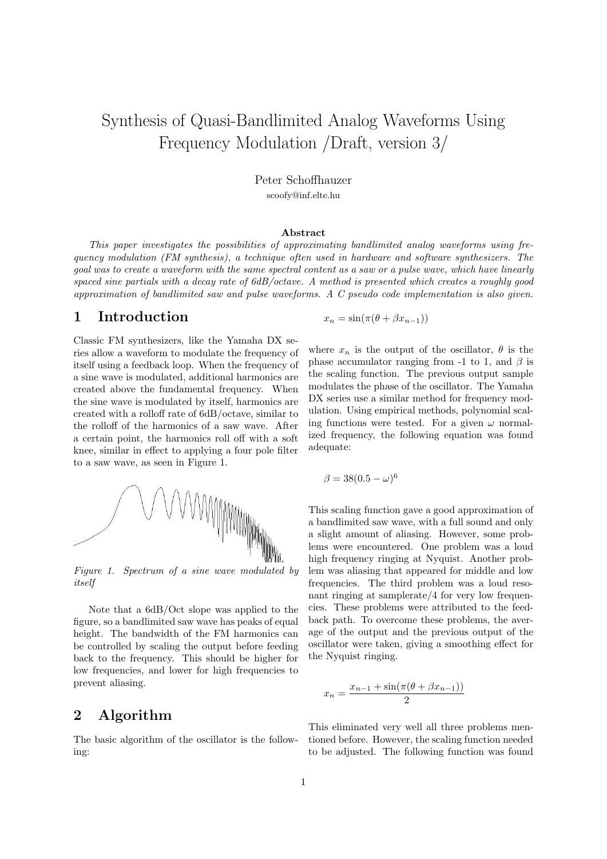# Synthesis of Quasi-Bandlimited Analog Waveforms Using Frequency Modulation /Draft, version 3/

Peter Schoffhauzer scoofy@inf.elte.hu

#### Abstract

This paper investigates the possibilities of approximating bandlimited analog waveforms using frequency modulation (FM synthesis), a technique often used in hardware and software synthesizers. The goal was to create a waveform with the same spectral content as a saw or a pulse wave, which have linearly spaced sine partials with a decay rate of 6dB/octave. A method is presented which creates a roughly good approximation of bandlimited saw and pulse waveforms. A C pseudo code implementation is also given.

#### 1 Introduction

Classic FM synthesizers, like the Yamaha DX series allow a waveform to modulate the frequency of itself using a feedback loop. When the frequency of a sine wave is modulated, additional harmonics are created above the fundamental frequency. When the sine wave is modulated by itself, harmonics are created with a rolloff rate of 6dB/octave, similar to the rolloff of the harmonics of a saw wave. After a certain point, the harmonics roll off with a soft knee, similar in effect to applying a four pole filter to a saw wave, as seen in Figure 1.



Figure 1. Spectrum of a sine wave modulated by itself

Note that a 6dB/Oct slope was applied to the figure, so a bandlimited saw wave has peaks of equal height. The bandwidth of the FM harmonics can be controlled by scaling the output before feeding back to the frequency. This should be higher for low frequencies, and lower for high frequencies to prevent aliasing.

#### 2 Algorithm

The basic algorithm of the oscillator is the following:

$$
x_n = \sin(\pi(\theta + \beta x_{n-1}))
$$

where  $x_n$  is the output of the oscillator,  $\theta$  is the phase accumulator ranging from -1 to 1, and  $\beta$  is the scaling function. The previous output sample modulates the phase of the oscillator. The Yamaha DX series use a similar method for frequency modulation. Using empirical methods, polynomial scaling functions were tested. For a given  $\omega$  normalized frequency, the following equation was found adequate:

$$
\beta = 38(0.5 - \omega)^6
$$

This scaling function gave a good approximation of a bandlimited saw wave, with a full sound and only a slight amount of aliasing. However, some problems were encountered. One problem was a loud high frequency ringing at Nyquist. Another problem was aliasing that appeared for middle and low frequencies. The third problem was a loud resonant ringing at samplerate/4 for very low frequencies. These problems were attributed to the feedback path. To overcome these problems, the average of the output and the previous output of the oscillator were taken, giving a smoothing effect for the Nyquist ringing.

$$
x_n = \frac{x_{n-1} + \sin(\pi(\theta + \beta x_{n-1}))}{2}
$$

This eliminated very well all three problems mentioned before. However, the scaling function needed to be adjusted. The following function was found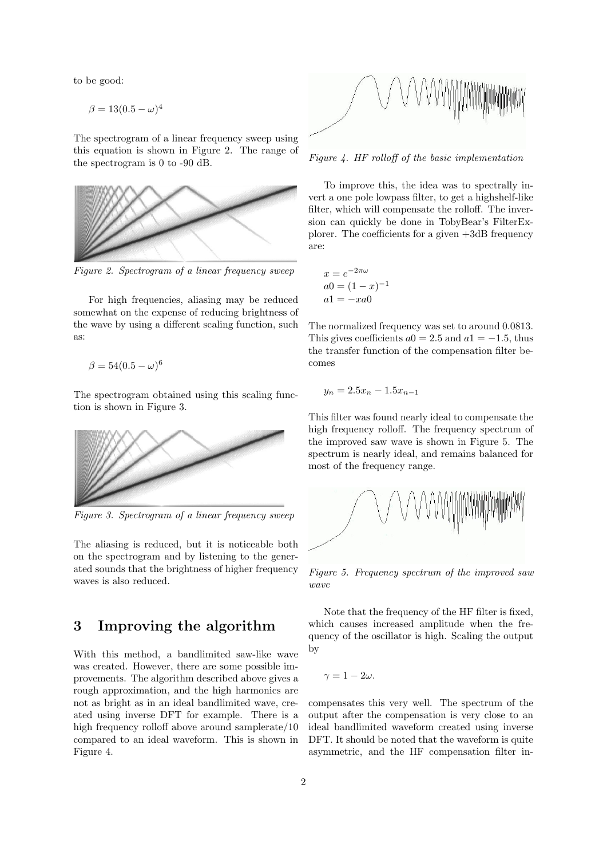to be good:

 $\beta = 13(0.5 - \omega)^4$ 

The spectrogram of a linear frequency sweep using this equation is shown in Figure 2. The range of the spectrogram is 0 to -90 dB.



Figure 2. Spectrogram of a linear frequency sweep

For high frequencies, aliasing may be reduced somewhat on the expense of reducing brightness of the wave by using a different scaling function, such as:

$$
\beta = 54(0.5 - \omega)^6
$$

The spectrogram obtained using this scaling function is shown in Figure 3.



Figure 3. Spectrogram of a linear frequency sweep

The aliasing is reduced, but it is noticeable both on the spectrogram and by listening to the generated sounds that the brightness of higher frequency waves is also reduced.

#### 3 Improving the algorithm

With this method, a bandlimited saw-like wave was created. However, there are some possible improvements. The algorithm described above gives a rough approximation, and the high harmonics are not as bright as in an ideal bandlimited wave, created using inverse DFT for example. There is a high frequency rolloff above around samplerate/10 compared to an ideal waveform. This is shown in Figure 4.



Figure 4. HF rolloff of the basic implementation

To improve this, the idea was to spectrally invert a one pole lowpass filter, to get a highshelf-like filter, which will compensate the rolloff. The inversion can quickly be done in TobyBear's FilterExplorer. The coefficients for a given +3dB frequency are:

$$
x = e^{-2\pi\omega}
$$
  
\n
$$
a0 = (1 - x)^{-1}
$$
  
\n
$$
a1 = -xa0
$$

The normalized frequency was set to around 0.0813. This gives coefficients  $a0 = 2.5$  and  $a1 = -1.5$ , thus the transfer function of the compensation filter becomes

$$
y_n = 2.5x_n - 1.5x_{n-1}
$$

This filter was found nearly ideal to compensate the high frequency rolloff. The frequency spectrum of the improved saw wave is shown in Figure 5. The spectrum is nearly ideal, and remains balanced for most of the frequency range.



Figure 5. Frequency spectrum of the improved saw wave

Note that the frequency of the HF filter is fixed, which causes increased amplitude when the frequency of the oscillator is high. Scaling the output by

$$
\gamma=1-2\omega.
$$

compensates this very well. The spectrum of the output after the compensation is very close to an ideal bandlimited waveform created using inverse DFT. It should be noted that the waveform is quite asymmetric, and the HF compensation filter in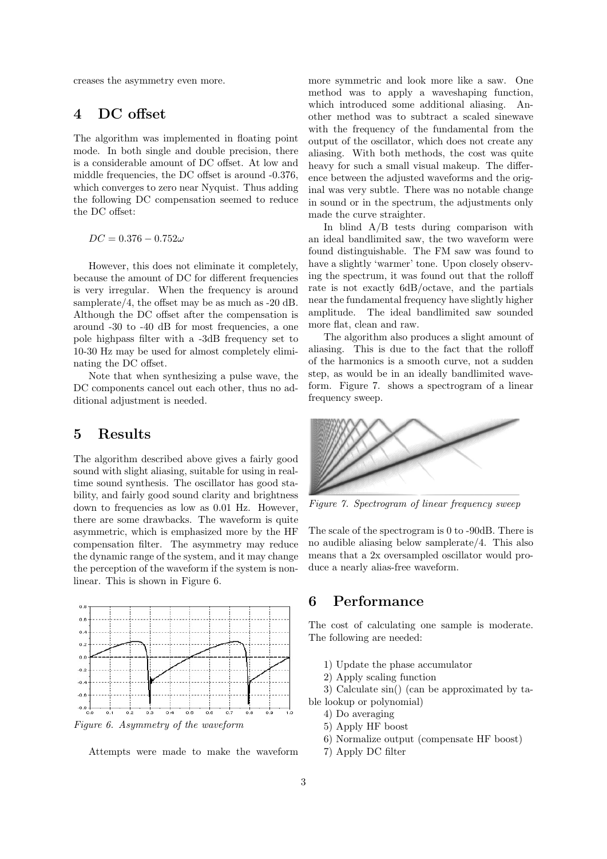creases the asymmetry even more.

#### 4 DC offset

The algorithm was implemented in floating point mode. In both single and double precision, there is a considerable amount of DC offset. At low and middle frequencies, the DC offset is around -0.376, which converges to zero near Nyquist. Thus adding the following DC compensation seemed to reduce the DC offset:

 $DC = 0.376 - 0.752\omega$ 

However, this does not eliminate it completely, because the amount of DC for different frequencies is very irregular. When the frequency is around samplerate/4, the offset may be as much as -20 dB. Although the DC offset after the compensation is around -30 to -40 dB for most frequencies, a one pole highpass filter with a -3dB frequency set to 10-30 Hz may be used for almost completely eliminating the DC offset.

Note that when synthesizing a pulse wave, the DC components cancel out each other, thus no additional adjustment is needed.

#### 5 Results

The algorithm described above gives a fairly good sound with slight aliasing, suitable for using in realtime sound synthesis. The oscillator has good stability, and fairly good sound clarity and brightness down to frequencies as low as 0.01 Hz. However, there are some drawbacks. The waveform is quite asymmetric, which is emphasized more by the HF compensation filter. The asymmetry may reduce the dynamic range of the system, and it may change the perception of the waveform if the system is nonlinear. This is shown in Figure 6.



Figure 6. Asymmetry of the waveform

Attempts were made to make the waveform

more symmetric and look more like a saw. One method was to apply a waveshaping function, which introduced some additional aliasing. Another method was to subtract a scaled sinewave with the frequency of the fundamental from the output of the oscillator, which does not create any aliasing. With both methods, the cost was quite heavy for such a small visual makeup. The difference between the adjusted waveforms and the original was very subtle. There was no notable change in sound or in the spectrum, the adjustments only made the curve straighter.

In blind  $A/B$  tests during comparison with an ideal bandlimited saw, the two waveform were found distinguishable. The FM saw was found to have a slightly 'warmer' tone. Upon closely observing the spectrum, it was found out that the rolloff rate is not exactly 6dB/octave, and the partials near the fundamental frequency have slightly higher amplitude. The ideal bandlimited saw sounded more flat, clean and raw.

The algorithm also produces a slight amount of aliasing. This is due to the fact that the rolloff of the harmonics is a smooth curve, not a sudden step, as would be in an ideally bandlimited waveform. Figure 7. shows a spectrogram of a linear frequency sweep.



Figure 7. Spectrogram of linear frequency sweep

The scale of the spectrogram is 0 to -90dB. There is no audible aliasing below samplerate/4. This also means that a 2x oversampled oscillator would produce a nearly alias-free waveform.

## 6 Performance

The cost of calculating one sample is moderate. The following are needed:

- 1) Update the phase accumulator
- 2) Apply scaling function

3) Calculate sin() (can be approximated by table lookup or polynomial)

- 4) Do averaging
- 5) Apply HF boost
- 6) Normalize output (compensate HF boost)
- 7) Apply DC filter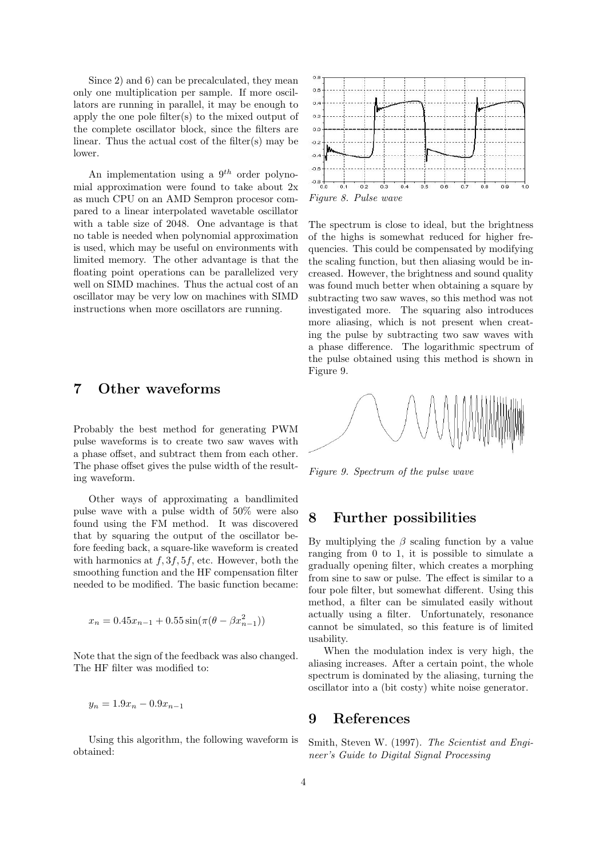Since 2) and 6) can be precalculated, they mean only one multiplication per sample. If more oscillators are running in parallel, it may be enough to apply the one pole filter(s) to the mixed output of the complete oscillator block, since the filters are linear. Thus the actual cost of the filter(s) may be lower.

An implementation using a  $9<sup>th</sup>$  order polynomial approximation were found to take about 2x as much CPU on an AMD Sempron procesor compared to a linear interpolated wavetable oscillator with a table size of 2048. One advantage is that no table is needed when polynomial approximation is used, which may be useful on environments with limited memory. The other advantage is that the floating point operations can be parallelized very well on SIMD machines. Thus the actual cost of an oscillator may be very low on machines with SIMD instructions when more oscillators are running.

## 7 Other waveforms

Probably the best method for generating PWM pulse waveforms is to create two saw waves with a phase offset, and subtract them from each other. The phase offset gives the pulse width of the resulting waveform.

Other ways of approximating a bandlimited pulse wave with a pulse width of 50% were also found using the FM method. It was discovered that by squaring the output of the oscillator before feeding back, a square-like waveform is created with harmonics at  $f$ ,  $3f$ ,  $5f$ , etc. However, both the smoothing function and the HF compensation filter needed to be modified. The basic function became:

$$
x_n = 0.45x_{n-1} + 0.55\sin(\pi(\theta - \beta x_{n-1}^2))
$$

Note that the sign of the feedback was also changed. The HF filter was modified to:

$$
y_n = 1.9x_n - 0.9x_{n-1}
$$

Using this algorithm, the following waveform is obtained:



The spectrum is close to ideal, but the brightness of the highs is somewhat reduced for higher frequencies. This could be compensated by modifying the scaling function, but then aliasing would be increased. However, the brightness and sound quality was found much better when obtaining a square by subtracting two saw waves, so this method was not investigated more. The squaring also introduces more aliasing, which is not present when creating the pulse by subtracting two saw waves with a phase difference. The logarithmic spectrum of the pulse obtained using this method is shown in Figure 9.



Figure 9. Spectrum of the pulse wave

#### 8 Further possibilities

By multiplying the  $\beta$  scaling function by a value ranging from 0 to 1, it is possible to simulate a gradually opening filter, which creates a morphing from sine to saw or pulse. The effect is similar to a four pole filter, but somewhat different. Using this method, a filter can be simulated easily without actually using a filter. Unfortunately, resonance cannot be simulated, so this feature is of limited usability.

When the modulation index is very high, the aliasing increases. After a certain point, the whole spectrum is dominated by the aliasing, turning the oscillator into a (bit costy) white noise generator.

#### 9 References

Smith, Steven W. (1997). The Scientist and Engineer's Guide to Digital Signal Processing